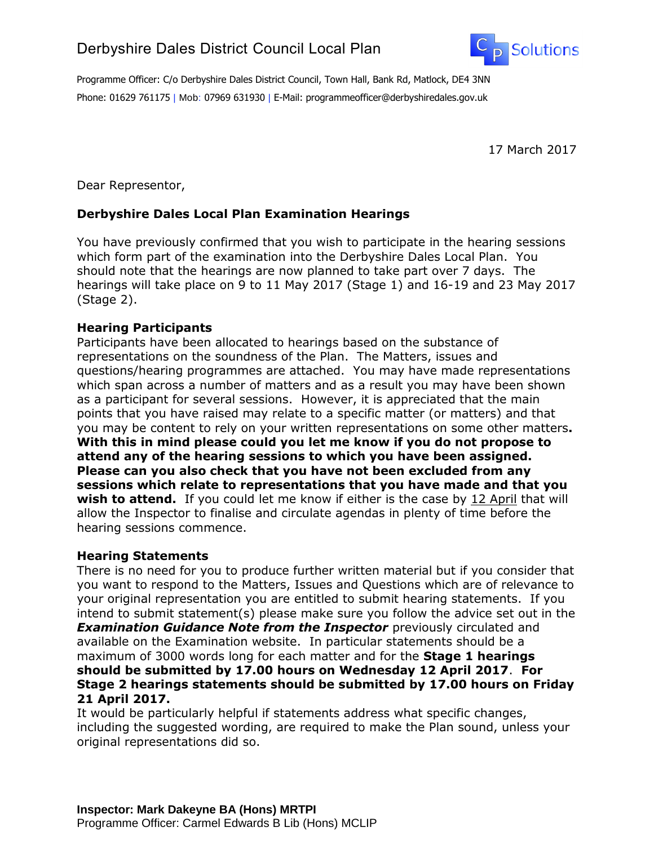

Programme Officer: C/o Derbyshire Dales District Council, Town Hall, Bank Rd, Matlock, DE4 3NN Phone: 01629 761175 | Mob: 07969 631930 | E-Mail: programmeofficer@derbyshiredales.gov.uk

17 March 2017

Dear Representor,

## **Derbyshire Dales Local Plan Examination Hearings**

You have previously confirmed that you wish to participate in the hearing sessions which form part of the examination into the Derbyshire Dales Local Plan. You should note that the hearings are now planned to take part over 7 days. The hearings will take place on 9 to 11 May 2017 (Stage 1) and 16-19 and 23 May 2017 (Stage 2).

## **Hearing Participants**

Participants have been allocated to hearings based on the substance of representations on the soundness of the Plan. The Matters, issues and questions/hearing programmes are attached. You may have made representations which span across a number of matters and as a result you may have been shown as a participant for several sessions. However, it is appreciated that the main points that you have raised may relate to a specific matter (or matters) and that you may be content to rely on your written representations on some other matters**. With this in mind please could you let me know if you do not propose to attend any of the hearing sessions to which you have been assigned. Please can you also check that you have not been excluded from any sessions which relate to representations that you have made and that you wish to attend.** If you could let me know if either is the case by 12 April that will allow the Inspector to finalise and circulate agendas in plenty of time before the hearing sessions commence.

## **Hearing Statements**

There is no need for you to produce further written material but if you consider that you want to respond to the Matters, Issues and Questions which are of relevance to your original representation you are entitled to submit hearing statements. If you intend to submit statement(s) please make sure you follow the advice set out in the *Examination Guidance Note from the Inspector* previously circulated and available on the Examination website. In particular statements should be a maximum of 3000 words long for each matter and for the **Stage 1 hearings should be submitted by 17.00 hours on Wednesday 12 April 2017**. **For Stage 2 hearings statements should be submitted by 17.00 hours on Friday 21 April 2017.**

It would be particularly helpful if statements address what specific changes, including the suggested wording, are required to make the Plan sound, unless your original representations did so.